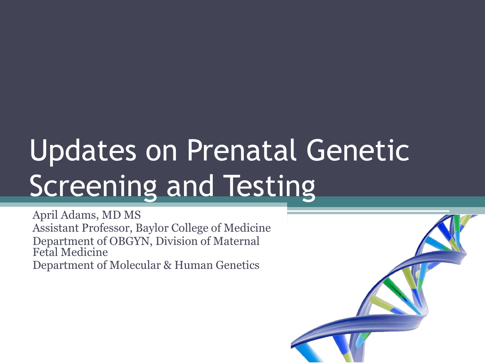# Updates on Prenatal Genetic Screening and Testing

April Adams, MD MS Assistant Professor, Baylor College of Medicine Department of OBGYN, Division of Maternal Fetal Medicine Department of Molecular & Human Genetics

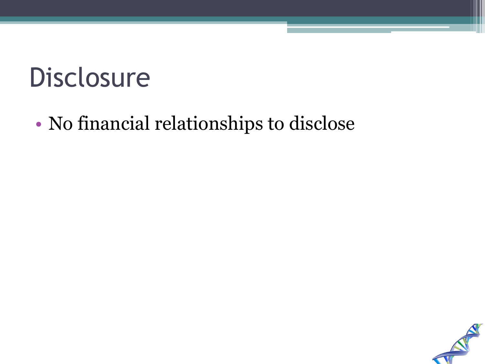#### Disclosure

#### • No financial relationships to disclose

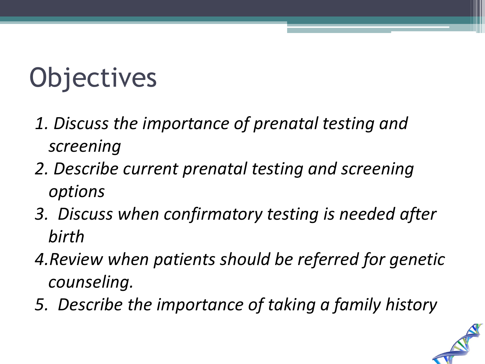# **Objectives**

- *1. Discuss the importance of prenatal testing and screening*
- *2. Describe current prenatal testing and screening options*
- *3. Discuss when confirmatory testing is needed after birth*
- *4.Review when patients should be referred for genetic counseling.*
- *5. Describe the importance of taking a family history*

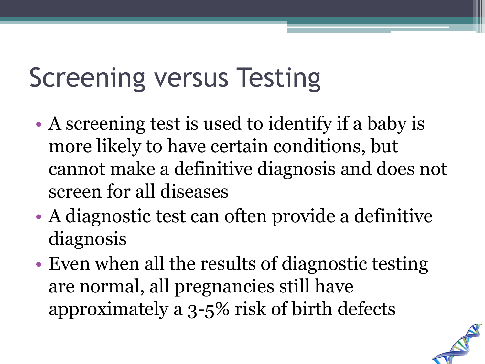#### Screening versus Testing

- A screening test is used to identify if a baby is more likely to have certain conditions, but cannot make a definitive diagnosis and does not screen for all diseases
- A diagnostic test can often provide a definitive diagnosis
- Even when all the results of diagnostic testing are normal, all pregnancies still have approximately a 3-5% risk of birth defects

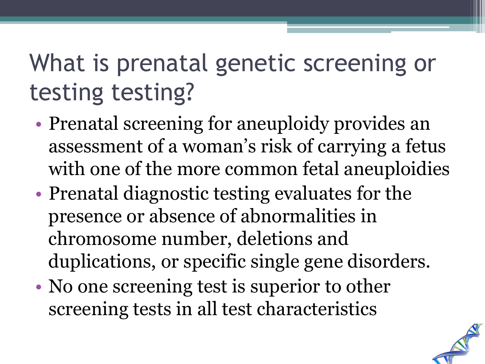#### What is prenatal genetic screening or testing testing?

- Prenatal screening for aneuploidy provides an assessment of a woman's risk of carrying a fetus with one of the more common fetal aneuploidies
- Prenatal diagnostic testing evaluates for the presence or absence of abnormalities in chromosome number, deletions and duplications, or specific single gene disorders.
- No one screening test is superior to other screening tests in all test characteristics

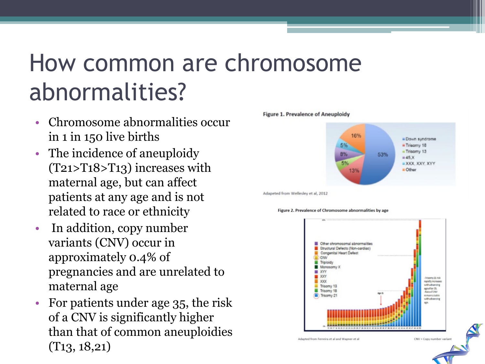#### How common are chromosome abnormalities?

- Chromosome abnormalities occur in 1 in 150 live births
- The incidence of aneuploidy (T21>T18>T13) increases with maternal age, but can affect patients at any age and is not related to race or ethnicity
- In addition, copy number variants (CNV) occur in approximately 0.4% of pregnancies and are unrelated to maternal age
- For patients under age 35, the risk of a CNV is significantly higher than that of common aneuploidies (T13, 18,21)



Adapeted from Wellesley et al, 2012

Figure 2. Prevalence of Chromosome abnormalities by age

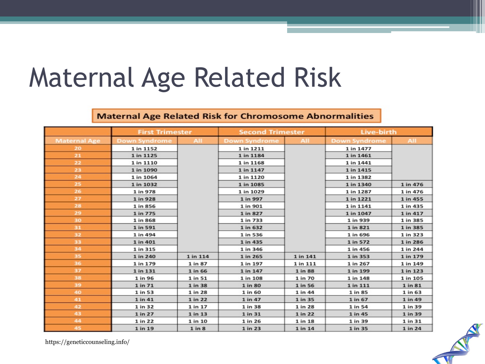#### Maternal Age Related Risk

#### **Maternal Age Related Risk for Chromosome Abnormalities**

|                     | <b>First Trimester</b> |          | <b>Second Trimester</b> |          | Live-birth           |          |
|---------------------|------------------------|----------|-------------------------|----------|----------------------|----------|
| <b>Maternal Age</b> | <b>Down Syndrome</b>   | All      | <b>Down Syndrome</b>    | All      | <b>Down Syndrome</b> | All      |
| 20                  | 1 in 1152              |          | 1 in 1211               |          | 1 in 1477            |          |
| 21                  | 1 in 1125              |          | 1 in 1184               |          | 1 in 1461            |          |
| 22                  | 1 in 1110              |          | 1 in 1168               |          | 1 in 1441            |          |
| 23                  | 1 in 1090              |          | 1 in 1147               |          | 1 in 1415            |          |
| 24                  | 1 in 1064              |          | 1 in 1120               |          | 1 in 1382            |          |
| 25                  | 1 in 1032              |          | 1 in 1085               |          | 1 in 1340            | 1 in 476 |
| 26                  | 1 in 978               |          | 1 in 1029               |          | 1 in 1287            | 1 in 476 |
| 27                  | 1 in 928               |          | 1 in 997                |          | 1 in 1221            | 1 in 455 |
| 28                  | 1 in 856               |          | 1 in 901                |          | 1 in 1141            | 1 in 435 |
| 29                  | 1 in 775               |          | 1 in 827                |          | 1 in 1047            | 1 in 417 |
| 30                  | 1 in 868               |          | 1 in 733                |          | 1 in 939             | 1 in 385 |
| 31                  | 1 in 591               |          | 1 in 632                |          | 1 in 821             | 1 in 385 |
| 32                  | 1 in 494               |          | 1 in 536                |          | 1 in 696             | 1 in 323 |
| 33                  | 1 in 401               |          | 1 in 435                |          | 1 in 572             | 1 in 286 |
| 34                  | 1 in 315               |          | 1 in 346                |          | 1 in 456             | 1 in 244 |
| 35                  | 1 in 240               | 1 in 114 | 1 in 265                | 1 in 141 | 1 in 353             | 1 in 179 |
| 36                  | 1 in 179               | 1 in 87  | 1 in 197                | 1 in 111 | 1 in 267             | 1 in 149 |
| 37                  | 1 in 131               | 1 in 66  | 1 in 147                | 1 in 88  | 1 in 199             | 1 in 123 |
| 38                  | 1 in 96                | 1 in 51  | 1 in 108                | 1 in 70  | 1 in 148             | 1 in 105 |
| 39                  | 1 in 71                | 1 in 38  | 1 in 80                 | 1 in 56  | 1 in 111             | 1 in 81  |
| 40                  | 1 in 53                | 1 in 28  | 1 in 60                 | 1 in 44  | 1 in 85              | 1 in 63  |
| 41                  | 1 in 41                | 1 in 22  | 1 in 47                 | 1 in 35  | 1 in 67              | 1 in 49  |
| 42                  | 1 in 32                | 1 in 17  | 1 in 38                 | 1 in 28  | 1 in 54              | 1 in 39  |
| 43                  | 1 in 27                | 1 in 13  | 1 in 31                 | 1 in 22  | 1 in 45              | 1 in 39  |
| 44                  | 1 in 22                | 1 in 10  | 1 in 26                 | 1 in 18  | 1 in 39              | 1 in 31  |
| 45                  | 1 in 19                | 1 in 8   | 1 in 23                 | 1 in 14  | 1 in 35              | 1 in 24  |

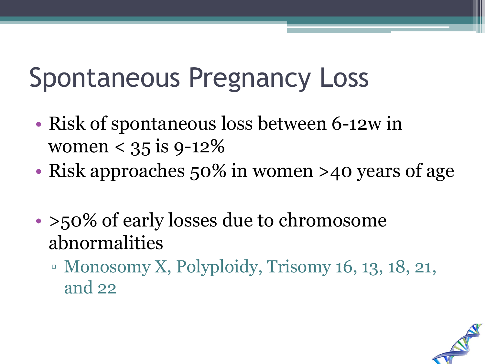#### Spontaneous Pregnancy Loss

- Risk of spontaneous loss between 6-12w in women  $< 35$  is 9-12%
- Risk approaches 50% in women >40 years of age
- >50% of early losses due to chromosome abnormalities
	- Monosomy X, Polyploidy, Trisomy 16, 13, 18, 21, and 22

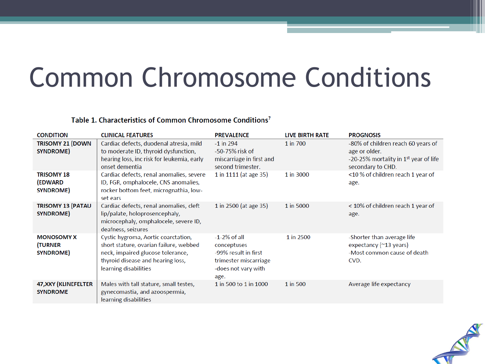#### Common Chromosome Conditions

#### Table 1. Characteristics of Common Chromosome Conditions<sup>7</sup>

| <b>CONDITION</b>                                | <b>CLINICAL FEATURES</b>                                                                                                                                                         | <b>PREVALENCE</b>                                                                                             | LIVE BIRTH RATE | <b>PROGNOSIS</b>                                                                                                              |
|-------------------------------------------------|----------------------------------------------------------------------------------------------------------------------------------------------------------------------------------|---------------------------------------------------------------------------------------------------------------|-----------------|-------------------------------------------------------------------------------------------------------------------------------|
| <b>TRISOMY 21 (DOWN</b><br>SYNDROME)            | Cardiac defects, duodenal atresia, mild<br>to moderate ID, thyroid dysfunction,<br>hearing loss, inc risk for leukemia, early<br>onset dementia                                  | $-1$ in 294<br>-50-75% risk of<br>miscarriage in first and<br>second trimester.                               | 1 in 700        | -80% of children reach 60 years of<br>age or older.<br>-20-25% mortality in 1 <sup>st</sup> year of life<br>secondary to CHD. |
| <b>TRISOMY 18</b><br>(EDWARD<br>SYNDROME)       | Cardiac defects, renal anomalies, severe<br>ID, FGR, omphalocele, CNS anomalies,<br>rocker bottom feet, micrognathia, low-<br>set ears                                           | 1 in 1111 (at age 35)                                                                                         | 1 in 3000       | <10 % of children reach 1 year of<br>age.                                                                                     |
| <b>TRISOMY 13 (PATAU</b><br>SYNDROME)           | Cardiac defects, renal anomalies, cleft<br>lip/palate, holoprosencephaly,<br>microcephaly, omphalocele, severe ID,<br>deafness, seizures                                         | 1 in 2500 (at age 35)                                                                                         | 1 in 5000       | < 10% of children reach 1 year of<br>age.                                                                                     |
| <b>MONOSOMY X</b><br><b>TURNER</b><br>SYNDROME) | Cystic hygroma, Aortic coarctation,<br>short stature, ovarian failure, webbed<br>neck, impaired glucose tolerance,<br>thyroid disease and hearing loss,<br>learning disabilities | $-1-2%$ of all<br>conceptuses<br>-99% result in first<br>trimester miscarriage<br>-does not vary with<br>age. | 1 in 2500       | -Shorter than average life<br>expectancy (~13 years)<br>-Most common cause of death<br>CVD.                                   |
| 47, XXY (KLINEFELTER<br><b>SYNDROME</b>         | Males with tall stature, small testes,<br>gynecomastia, and azoospermia,<br>learning disabilities                                                                                | 1 in 500 to 1 in 1000                                                                                         | 1 in 500        | Average life expectancy                                                                                                       |

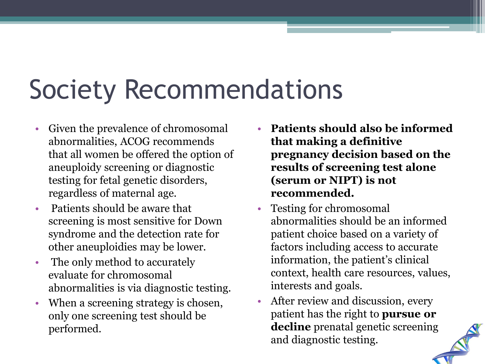#### Society Recommendations

- Given the prevalence of chromosomal abnormalities, ACOG recommends that all women be offered the option of aneuploidy screening or diagnostic testing for fetal genetic disorders, regardless of maternal age.
- Patients should be aware that screening is most sensitive for Down syndrome and the detection rate for other aneuploidies may be lower.
- The only method to accurately evaluate for chromosomal abnormalities is via diagnostic testing.
- When a screening strategy is chosen, only one screening test should be performed.
- **Patients should also be informed that making a definitive pregnancy decision based on the results of screening test alone (serum or NIPT) is not recommended.**
- Testing for chromosomal abnormalities should be an informed patient choice based on a variety of factors including access to accurate information, the patient's clinical context, health care resources, values, interests and goals.
- After review and discussion, every patient has the right to **pursue or decline** prenatal genetic screening and diagnostic testing.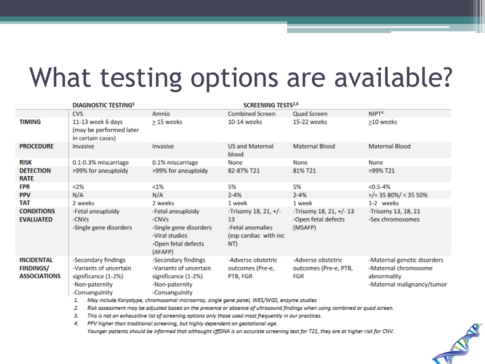#### What testing options are available?

| <b>DIAGNOSTIC TESTING1</b>                                   |                                                                                                          |                                                                                                                      | <b>SCREENING TESTS<sup>2,3</sup></b>                                             |                                                           |                                                                                                  |
|--------------------------------------------------------------|----------------------------------------------------------------------------------------------------------|----------------------------------------------------------------------------------------------------------------------|----------------------------------------------------------------------------------|-----------------------------------------------------------|--------------------------------------------------------------------------------------------------|
|                                                              | <b>CVS</b>                                                                                               | Amnio                                                                                                                | <b>Combined Screen</b>                                                           | Quad Screen                                               | NIPT <sup>4</sup>                                                                                |
| <b>TIMING</b>                                                | 11-13 week 6 days<br>(may be performed later<br>in certain cases)                                        | $\geq$ 15 weeks                                                                                                      | 10-14 weeks                                                                      | 15-22 weeks                                               | >10 weeks                                                                                        |
| <b>PROCEDURE</b>                                             | Invasive                                                                                                 | Invasive                                                                                                             | <b>US and Maternal</b><br>blood                                                  | Maternal Blood                                            | Maternal Blood                                                                                   |
| RISK                                                         | 0.1-0.3% miscarriage                                                                                     | 0.1% miscarriage                                                                                                     | None                                                                             | None                                                      | None                                                                                             |
| <b>DETECTION</b><br><b>RATE</b>                              | >99% for aneuploidy                                                                                      | >99% for aneuploidy                                                                                                  | 82-87% T21                                                                       | 81% T21                                                   | >99% T21                                                                                         |
| FPR                                                          | <2%                                                                                                      | $< 1\%$                                                                                                              | 5%                                                                               | 5%                                                        | $< 0.5 - 4%$                                                                                     |
| <b>PPV</b>                                                   | N/A                                                                                                      | N/A                                                                                                                  | $2 - 4%$                                                                         | $2 - 4%$                                                  | $>$ /= 35 80%/ < 35 50%                                                                          |
| TAT                                                          | 2 weeks                                                                                                  | 2 weeks                                                                                                              | 1 week                                                                           | 1 week                                                    | 1-2 weeks                                                                                        |
| <b>CONDITIONS</b><br><b>EVALUATED</b>                        | -Fetal aneuploidy<br>-CNV <sub>5</sub><br>-Single gene disorders                                         | -Fetal aneuploidy<br>-CNV <sub>S</sub><br>-Single gene disorders<br>-Viral studies<br>-Open fetal defects<br>(AFAFP) | -Trisomy 18, 21, $+/-$<br>13<br>-Fetal anomalies<br>(esp cardiac with inc<br>NT) | -Trisomy 18, 21, +/- 13<br>-Open fetal defects<br>(MSAFP) | -Trisomy 13, 18, 21<br>-Sex chromosomes                                                          |
| <b>INCIDENTAL</b><br><b>FINDINGS/</b><br><b>ASSOCIATIONS</b> | -Secondary findings<br>-Variants of uncertain<br>significance (1-2%)<br>-Non-paternity<br>-Consanguinity | -Secondary findings<br>-Variants of uncertain<br>significance (1-2%)<br>-Non-paternity<br>-Consanguinity             | -Adverse obstetric<br>outcomes (Pre-e,<br>PTB, FGR                               | -Adverse obstetric<br>outcomes (Pre-e, PTB,<br>FGR        | -Maternal genetic disorders<br>-Maternal chromosome<br>abnormality<br>-Maternal malignancy/tumor |

1. May include Karyotype, chromosomal microarray, single gene panel, WES/WGS, enzyme studies

2. Risk assessment may be adjusted based on the presence or absence of ultrasound findings when using combined or quad screen.

3. This is not an exhausitive list of screening options only those used most frequently in our practices.

4. PPV higher than traditional screening, but highly dependent on gestational age.

Younger patients should be informed that althought cffDNA is an accurate screening test for T21, they are at higher risk for CNV.

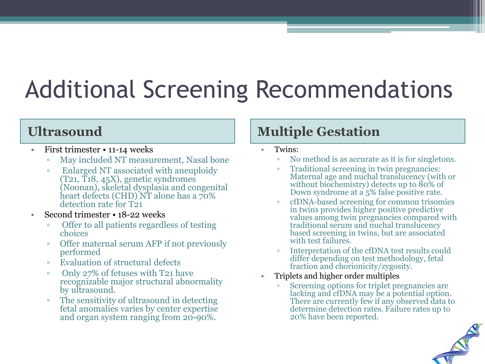#### Additional Screening Recommendations

- First trimester 11-14 weeks
	- May included NT measurement, Nasal bone
	- Enlarged NT associated with aneuploidy (T21, T18, 45X), genetic syndromes (Noonan), skeletal dysplasia and congenital heart defects (CHD) NT alone has a  $70\%$ detection rate for T21
- Second trimester 18-22 weeks
	- Offer to all patients regardless of testing choices
	- Offer maternal serum AFP if not previously performed
	- Evaluation of structural defects
	- Only 27% of fetuses with T21 have recognizable major structural abnormality by ultrasound.
	- The sensitivity of ultrasound in detecting fetal anomalies varies by center expertise and organ system ranging from 20-90%.

#### **Ultrasound Multiple Gestation**

- Twins:
	- No method is as accurate as it is for singletons.
	- Traditional screening in twin pregnancies: Maternal age and nuchal translucency (with or without biochemistry) detects up to  $80\%$  of Down syndrome at a 5% false positive rate.
	- cfDNA-based screening for common trisomies in twins provides higher positive predictive values among twin pregnancies compared with traditional serum and nuchal translucency based screening in twins, but are associated with test failures.
	- Interpretation of the cfDNA test results could differ depending on test methodology, fetal fraction and chorionicity/zygosity.
- Triplets and higher order multiples
	- Screening options for triplet pregnancies are lacking and cfDNA may be a potential option. There are currently few if any observed data to determine detection rates. Failure rates up to 20% have been reported.

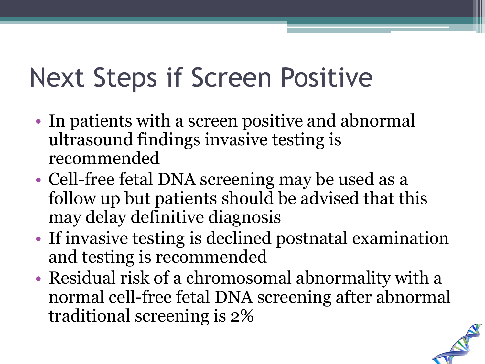#### Next Steps if Screen Positive

- In patients with a screen positive and abnormal ultrasound findings invasive testing is recommended
- Cell-free fetal DNA screening may be used as a follow up but patients should be advised that this may delay definitive diagnosis
- If invasive testing is declined postnatal examination and testing is recommended
- Residual risk of a chromosomal abnormality with a normal cell-free fetal DNA screening after abnormal traditional screening is 2%

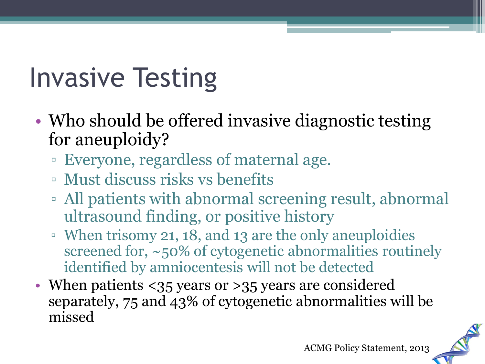## Invasive Testing

- Who should be offered invasive diagnostic testing for aneuploidy?
	- Everyone, regardless of maternal age.
	- Must discuss risks vs benefits
	- All patients with abnormal screening result, abnormal ultrasound finding, or positive history
	- When trisomy 21, 18, and 13 are the only aneuploidies screened for, ~50% of cytogenetic abnormalities routinely identified by amniocentesis will not be detected
- When patients <35 years or >35 years are considered separately, 75 and 43% of cytogenetic abnormalities will be missed

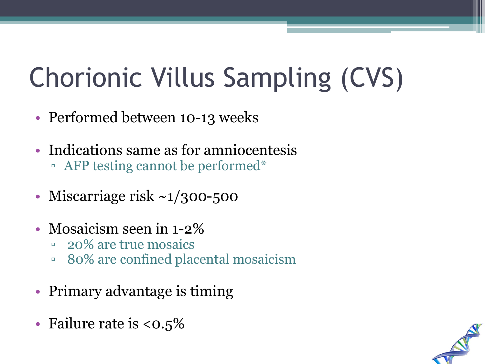# Chorionic Villus Sampling (CVS)

- Performed between 10-13 weeks
- Indications same as for amniocentesis
	- AFP testing cannot be performed\*
- Miscarriage risk  $\sim 1/300 500$
- Mosaicism seen in 1-2<sup>%</sup>
	- 20% are true mosaics
	- 80% are confined placental mosaicism
- Primary advantage is timing
- Failure rate is  $<0.5\%$

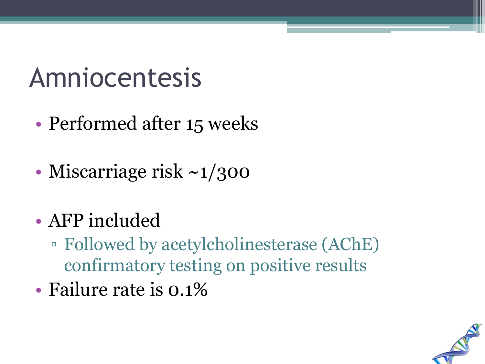#### Amniocentesis

- Performed after 15 weeks
- Miscarriage risk ~1/300
- AFP included
	- Followed by acetylcholinesterase (AChE) confirmatory testing on positive results
- Failure rate is 0.1%

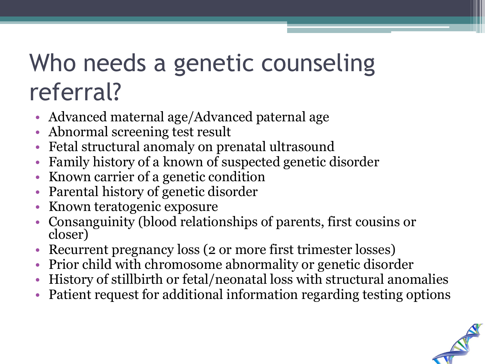#### Who needs a genetic counseling referral?

- Advanced maternal age/Advanced paternal age
- Abnormal screening test result
- Fetal structural anomaly on prenatal ultrasound
- Family history of a known of suspected genetic disorder
- Known carrier of a genetic condition
- Parental history of genetic disorder
- Known teratogenic exposure
- Consanguinity (blood relationships of parents, first cousins or closer)
- Recurrent pregnancy loss (2 or more first trimester losses)
- Prior child with chromosome abnormality or genetic disorder
- History of stillbirth or fetal/neonatal loss with structural anomalies
- Patient request for additional information regarding testing options

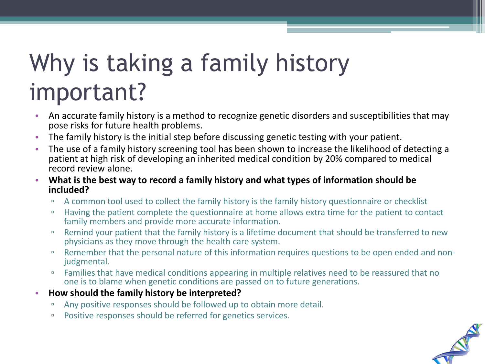#### Why is taking a family history important?

- An accurate family history is a method to recognize genetic disorders and susceptibilities that may pose risks for future health problems.
- The family history is the initial step before discussing genetic testing with your patient.
- The use of a family history screening tool has been shown to increase the likelihood of detecting a patient at high risk of developing an inherited medical condition by 20% compared to medical record review alone.
- **What is the best way to record a family history and what types of information should be included?** 
	- □ A common tool used to collect the family history is the family history questionnaire or checklist
	- Having the patient complete the questionnaire at home allows extra time for the patient to contact family members and provide more accurate information.
	- Remind your patient that the family history is a lifetime document that should be transferred to new physicians as they move through the health care system.
	- Remember that the personal nature of this information requires questions to be open ended and non-<br>judgmental.
	- Families that have medical conditions appearing in multiple relatives need to be reassured that no one is to blame when genetic conditions are passed on to future generations.
- **How should the family history be interpreted?** 
	- □ Any positive responses should be followed up to obtain more detail.
	- □ Positive responses should be referred for genetics services.

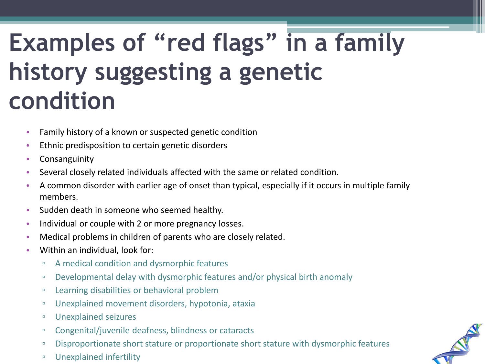#### **Examples of "red flags" in a family history suggesting a genetic condition**

- Family history of a known or suspected genetic condition
- Ethnic predisposition to certain genetic disorders
- Consanguinity
- Several closely related individuals affected with the same or related condition.
- A common disorder with earlier age of onset than typical, especially if it occurs in multiple family members.
- Sudden death in someone who seemed healthy.
- Individual or couple with 2 or more pregnancy losses.
- Medical problems in children of parents who are closely related.
- Within an individual, look for:
	- A medical condition and dysmorphic features
	- □ Developmental delay with dysmorphic features and/or physical birth anomaly
	- Learning disabilities or behavioral problem
	- Unexplained movement disorders, hypotonia, ataxia
	- Unexplained seizures
	- Congenital/juvenile deafness, blindness or cataracts
	- □ Disproportionate short stature or proportionate short stature with dysmorphic features
	- Unexplained infertility

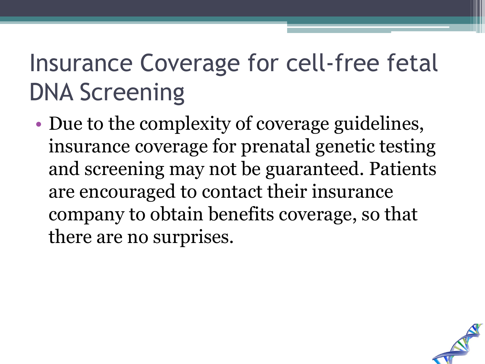#### Insurance Coverage for cell-free fetal DNA Screening

• Due to the complexity of coverage guidelines, insurance coverage for prenatal genetic testing and screening may not be guaranteed. Patients are encouraged to contact their insurance company to obtain benefits coverage, so that there are no surprises.

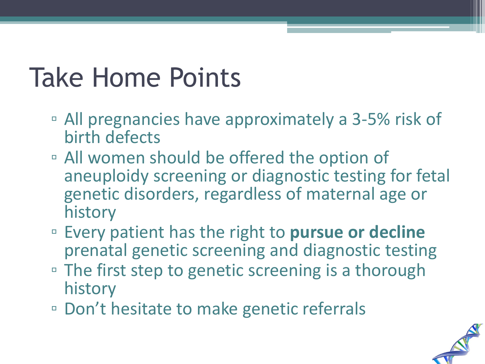#### Take Home Points

- All pregnancies have approximately a 3-5% risk of birth defects
- All women should be offered the option of aneuploidy screening or diagnostic testing for fetal genetic disorders, regardless of maternal age or history
- Every patient has the right to **pursue or decline**  prenatal genetic screening and diagnostic testing
- The first step to genetic screening is a thorough history
- Don't hesitate to make genetic referrals

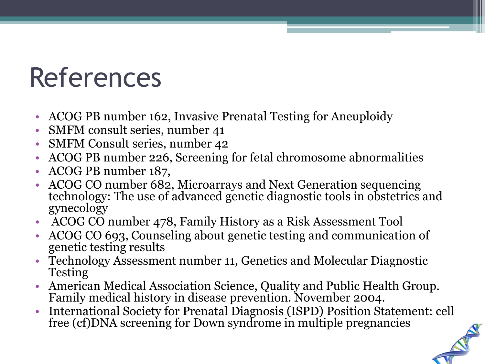#### References

- ACOG PB number 162, Invasive Prenatal Testing for Aneuploidy
- SMFM consult series, number 41
- SMFM Consult series, number 42
- ACOG PB number 226, Screening for fetal chromosome abnormalities
- ACOG PB number 187,
- ACOG CO number 682, Microarrays and Next Generation sequencing technology: The use of advanced genetic diagnostic tools in obstetrics and gynecology
- ACOG CO number 478, Family History as a Risk Assessment Tool
- ACOG CO 693, Counseling about genetic testing and communication of genetic testing results
- Technology Assessment number 11, Genetics and Molecular Diagnostic Testing
- American Medical Association Science, Quality and Public Health Group. Family medical history in disease prevention. November 2004.
- International Society for Prenatal Diagnosis (ISPD) Position Statement: cell free (cf)DNA screening for Down syndrome in multiple pregnancies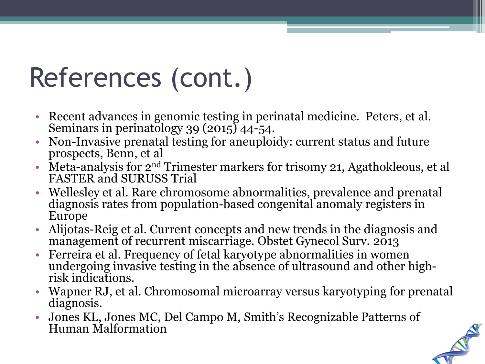## References (cont.)

- Recent advances in genomic testing in perinatal medicine. Peters, et al. Seminars in perinatology 39 (2015) 44-54.
- Non-Invasive prenatal testing for aneuploidy: current status and future prospects, Benn, et al
- Meta-analysis for  $2<sup>nd</sup>$  Trimester markers for trisomy 21, Agathokleous, et al FASTER and SURUSS Trial
- Wellesley et al. Rare chromosome abnormalities, prevalence and prenatal diagnosis rates from population-based congenital anomaly registers in Europe
- Alijotas-Reig et al. Current concepts and new trends in the diagnosis and management of recurrent miscarriage. Obstet Gynecol Surv. 2013
- Ferreira et al. Frequency of fetal karyotype abnormalities in women undergoing invasive testing in the absence of ultrasound and other high- risk indications.
- Wapner RJ, et al. Chromosomal microarray versus karyotyping for prenatal diagnosis.
- Jones KL, Jones MC, Del Campo M, Smith's Recognizable Patterns of Human Malformation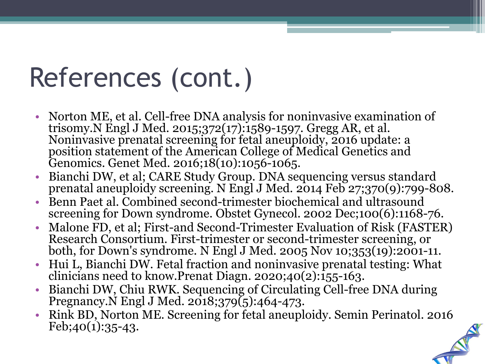## References (cont.)

- Norton ME, et al. Cell-free DNA analysis for noninvasive examination of trisomy.N Engl J Med. 2015;372(17):1589-1597. Gregg AR, et al. Noninvasive prenatal screening for fetal aneuploidy, 2016 update: a position statement of the American College of Medical Genetics and Genomics. Genet Med. 2016;18(10):1056-1065.
- Bianchi DW, et al; CARE Study Group. DNA sequencing versus standard prenatal aneuploidy screening. N Engl J Med. 2014 Feb 27;370(9):799-808.
- Benn Paet al. Combined second-trimester biochemical and ultrasound screening for Down syndrome. Obstet Gynecol. 2002 Dec;100(6):1168-76.
- Malone FD, et al; First-and Second-Trimester Evaluation of Risk (FASTER) both, for Down's syndrome. N Engl J Med. 2005 Nov 10;353(19):2001-11.
- Hui L, Bianchi DW. Fetal fraction and noninvasive prenatal testing: What clinicians need to know.Prenat Diagn. 2020;40(2):155-163.
- Bianchi DW, Chiu RWK. Sequencing of Circulating Cell-free DNA during Pregnancy.  $\acute{N}$  Engl J Med. 2018;379 $\acute{G}$ ):464-473.
- Rink BD, Norton ME. Screening for fetal aneuploidy. Semin Perinatol. 2016  $Feb;40(1):35-43.$